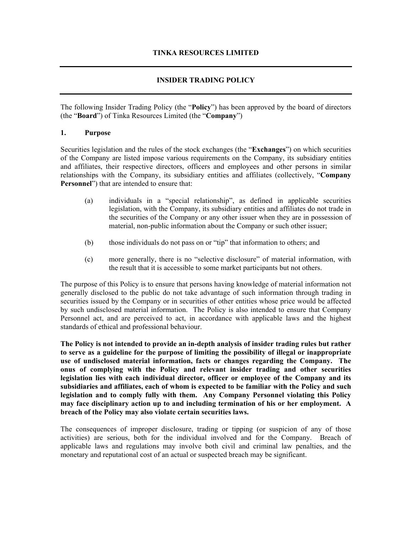# **INSIDER TRADING POLICY**

The following Insider Trading Policy (the "**Policy**") has been approved by the board of directors (the "**Board**") of Tinka Resources Limited (the "**Company**")

#### **1. Purpose**

Securities legislation and the rules of the stock exchanges (the "**Exchanges**") on which securities of the Company are listed impose various requirements on the Company, its subsidiary entities and affiliates, their respective directors, officers and employees and other persons in similar relationships with the Company, its subsidiary entities and affiliates (collectively, "**Company Personnel**") that are intended to ensure that:

- (a) individuals in a "special relationship", as defined in applicable securities legislation, with the Company, its subsidiary entities and affiliates do not trade in the securities of the Company or any other issuer when they are in possession of material, non-public information about the Company or such other issuer;
- (b) those individuals do not pass on or "tip" that information to others; and
- (c) more generally, there is no "selective disclosure" of material information, with the result that it is accessible to some market participants but not others.

The purpose of this Policy is to ensure that persons having knowledge of material information not generally disclosed to the public do not take advantage of such information through trading in securities issued by the Company or in securities of other entities whose price would be affected by such undisclosed material information. The Policy is also intended to ensure that Company Personnel act, and are perceived to act, in accordance with applicable laws and the highest standards of ethical and professional behaviour.

**The Policy is not intended to provide an in-depth analysis of insider trading rules but rather to serve as a guideline for the purpose of limiting the possibility of illegal or inappropriate use of undisclosed material information, facts or changes regarding the Company. The onus of complying with the Policy and relevant insider trading and other securities legislation lies with each individual director, officer or employee of the Company and its subsidiaries and affiliates, each of whom is expected to be familiar with the Policy and such legislation and to comply fully with them. Any Company Personnel violating this Policy may face disciplinary action up to and including termination of his or her employment. A breach of the Policy may also violate certain securities laws.** 

The consequences of improper disclosure, trading or tipping (or suspicion of any of those activities) are serious, both for the individual involved and for the Company. Breach of applicable laws and regulations may involve both civil and criminal law penalties, and the monetary and reputational cost of an actual or suspected breach may be significant.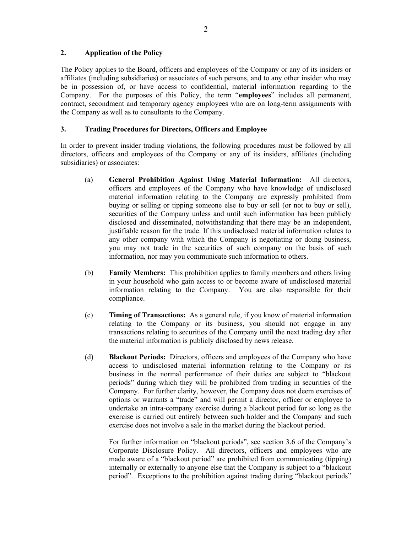#### **2. Application of the Policy**

The Policy applies to the Board, officers and employees of the Company or any of its insiders or affiliates (including subsidiaries) or associates of such persons, and to any other insider who may be in possession of, or have access to confidential, material information regarding to the Company. For the purposes of this Policy, the term "**employees**" includes all permanent, contract, secondment and temporary agency employees who are on long-term assignments with the Company as well as to consultants to the Company.

### **3. Trading Procedures for Directors, Officers and Employee**

In order to prevent insider trading violations, the following procedures must be followed by all directors, officers and employees of the Company or any of its insiders, affiliates (including subsidiaries) or associates:

- (a) **General Prohibition Against Using Material Information:** All directors, officers and employees of the Company who have knowledge of undisclosed material information relating to the Company are expressly prohibited from buying or selling or tipping someone else to buy or sell (or not to buy or sell), securities of the Company unless and until such information has been publicly disclosed and disseminated, notwithstanding that there may be an independent, justifiable reason for the trade. If this undisclosed material information relates to any other company with which the Company is negotiating or doing business, you may not trade in the securities of such company on the basis of such information, nor may you communicate such information to others.
- (b) **Family Members:** This prohibition applies to family members and others living in your household who gain access to or become aware of undisclosed material information relating to the Company. You are also responsible for their compliance.
- (c) **Timing of Transactions:** As a general rule, if you know of material information relating to the Company or its business, you should not engage in any transactions relating to securities of the Company until the next trading day after the material information is publicly disclosed by news release.
- (d) **Blackout Periods:** Directors, officers and employees of the Company who have access to undisclosed material information relating to the Company or its business in the normal performance of their duties are subject to "blackout periods" during which they will be prohibited from trading in securities of the Company. For further clarity, however, the Company does not deem exercises of options or warrants a "trade" and will permit a director, officer or employee to undertake an intra-company exercise during a blackout period for so long as the exercise is carried out entirely between such holder and the Company and such exercise does not involve a sale in the market during the blackout period.

For further information on "blackout periods", see section 3.6 of the Company's Corporate Disclosure Policy. All directors, officers and employees who are made aware of a "blackout period" are prohibited from communicating (tipping) internally or externally to anyone else that the Company is subject to a "blackout period". Exceptions to the prohibition against trading during "blackout periods"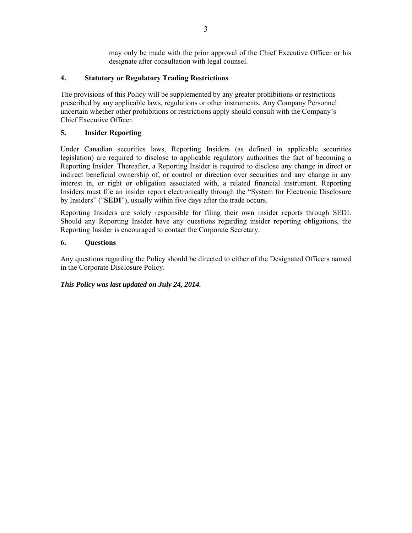may only be made with the prior approval of the Chief Executive Officer or his designate after consultation with legal counsel.

# **4. Statutory or Regulatory Trading Restrictions**

The provisions of this Policy will be supplemented by any greater prohibitions or restrictions prescribed by any applicable laws, regulations or other instruments. Any Company Personnel uncertain whether other prohibitions or restrictions apply should consult with the Company's Chief Executive Officer.

# **5. Insider Reporting**

Under Canadian securities laws, Reporting Insiders (as defined in applicable securities legislation) are required to disclose to applicable regulatory authorities the fact of becoming a Reporting Insider. Thereafter, a Reporting Insider is required to disclose any change in direct or indirect beneficial ownership of, or control or direction over securities and any change in any interest in, or right or obligation associated with, a related financial instrument. Reporting Insiders must file an insider report electronically through the "System for Electronic Disclosure by Insiders" ("**SEDI**"), usually within five days after the trade occurs.

Reporting Insiders are solely responsible for filing their own insider reports through SEDI. Should any Reporting Insider have any questions regarding insider reporting obligations, the Reporting Insider is encouraged to contact the Corporate Secretary.

# **6. Questions**

Any questions regarding the Policy should be directed to either of the Designated Officers named in the Corporate Disclosure Policy.

# *This Policy was last updated on July 24, 2014.*